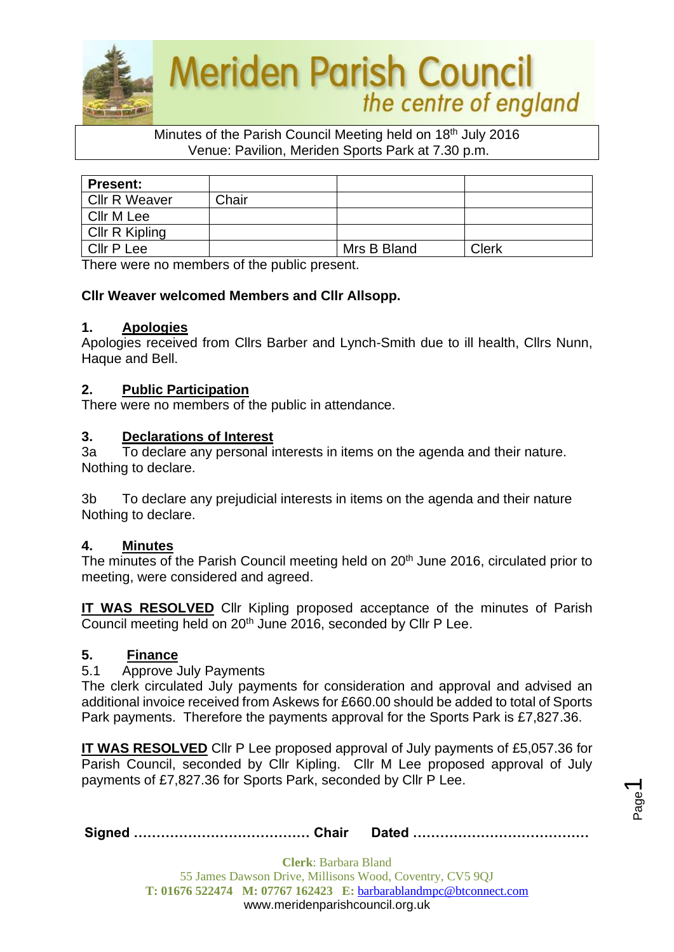

### Minutes of the Parish Council Meeting held on 18<sup>th</sup> July 2016 Venue: Pavilion, Meriden Sports Park at 7.30 p.m.

| <b>Present:</b>      |       |             |       |
|----------------------|-------|-------------|-------|
| <b>Cllr R Weaver</b> | Chair |             |       |
| Cllr M Lee           |       |             |       |
| Cllr R Kipling       |       |             |       |
| <b>Cllr P Lee</b>    |       | Mrs B Bland | Clerk |

There were no members of the public present.

### **Cllr Weaver welcomed Members and Cllr Allsopp.**

#### **1. Apologies**

Apologies received from Cllrs Barber and Lynch-Smith due to ill health, Cllrs Nunn, Haque and Bell.

#### **2. Public Participation**

There were no members of the public in attendance.

#### **3. Declarations of Interest**

3a To declare any personal interests in items on the agenda and their nature. Nothing to declare.

3b To declare any prejudicial interests in items on the agenda and their nature Nothing to declare.

#### **4. Minutes**

The minutes of the Parish Council meeting held on 20<sup>th</sup> June 2016, circulated prior to meeting, were considered and agreed.

**IT WAS RESOLVED** Cllr Kipling proposed acceptance of the minutes of Parish Council meeting held on 20<sup>th</sup> June 2016, seconded by Cllr P Lee.

#### **5. Finance**

5.1 Approve July Payments

The clerk circulated July payments for consideration and approval and advised an additional invoice received from Askews for £660.00 should be added to total of Sports Park payments. Therefore the payments approval for the Sports Park is £7,827.36.

**IT WAS RESOLVED** Cllr P Lee proposed approval of July payments of £5,057.36 for Parish Council, seconded by Cllr Kipling. Cllr M Lee proposed approval of July payments of £7,827.36 for Sports Park, seconded by Cllr P Lee.

Page  $\overline{\phantom{0}}$ 

|--|--|--|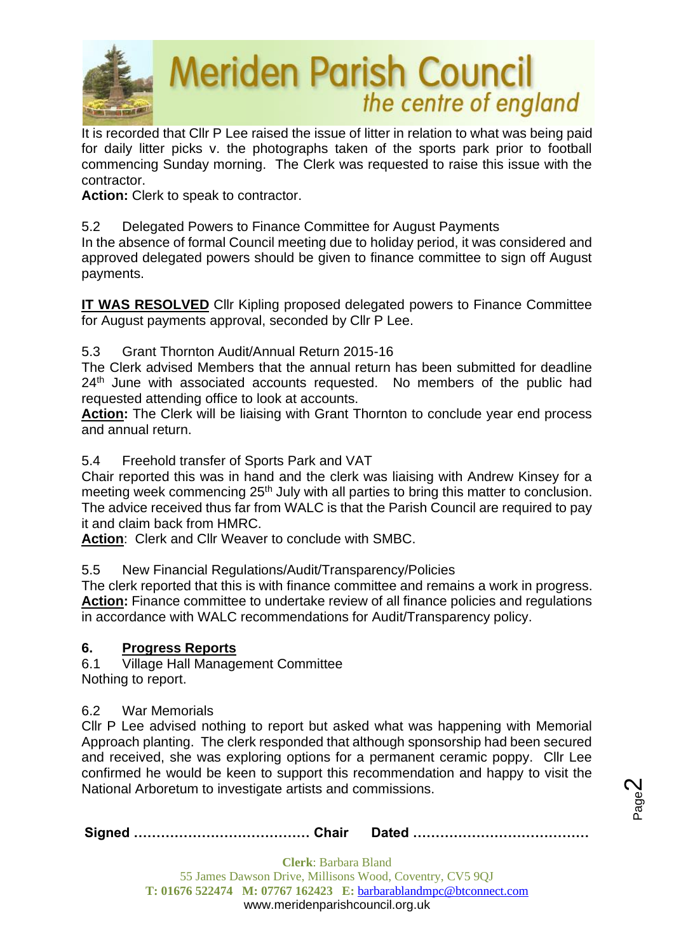

It is recorded that Cllr P Lee raised the issue of litter in relation to what was being paid for daily litter picks v. the photographs taken of the sports park prior to football commencing Sunday morning. The Clerk was requested to raise this issue with the contractor.

**Action:** Clerk to speak to contractor.

## 5.2 Delegated Powers to Finance Committee for August Payments

In the absence of formal Council meeting due to holiday period, it was considered and approved delegated powers should be given to finance committee to sign off August payments.

**IT WAS RESOLVED** Cllr Kipling proposed delegated powers to Finance Committee for August payments approval, seconded by Cllr P Lee.

### 5.3 Grant Thornton Audit/Annual Return 2015-16

The Clerk advised Members that the annual return has been submitted for deadline 24<sup>th</sup> June with associated accounts requested. No members of the public had requested attending office to look at accounts.

**Action:** The Clerk will be liaising with Grant Thornton to conclude year end process and annual return.

5.4 Freehold transfer of Sports Park and VAT

Chair reported this was in hand and the clerk was liaising with Andrew Kinsey for a meeting week commencing 25<sup>th</sup> July with all parties to bring this matter to conclusion. The advice received thus far from WALC is that the Parish Council are required to pay it and claim back from HMRC.

**Action**: Clerk and Cllr Weaver to conclude with SMBC.

5.5 New Financial Regulations/Audit/Transparency/Policies

The clerk reported that this is with finance committee and remains a work in progress. **Action:** Finance committee to undertake review of all finance policies and regulations in accordance with WALC recommendations for Audit/Transparency policy.

### **6. Progress Reports**

6.1 Village Hall Management Committee Nothing to report.

#### 6.2 War Memorials

Cllr P Lee advised nothing to report but asked what was happening with Memorial Approach planting. The clerk responded that although sponsorship had been secured and received, she was exploring options for a permanent ceramic poppy. Cllr Lee confirmed he would be keen to support this recommendation and happy to visit the National Arboretum to investigate artists and commissions.

**Signed ………………………………… Chair Dated …………………………………**

Page  $\boldsymbol{\sim}$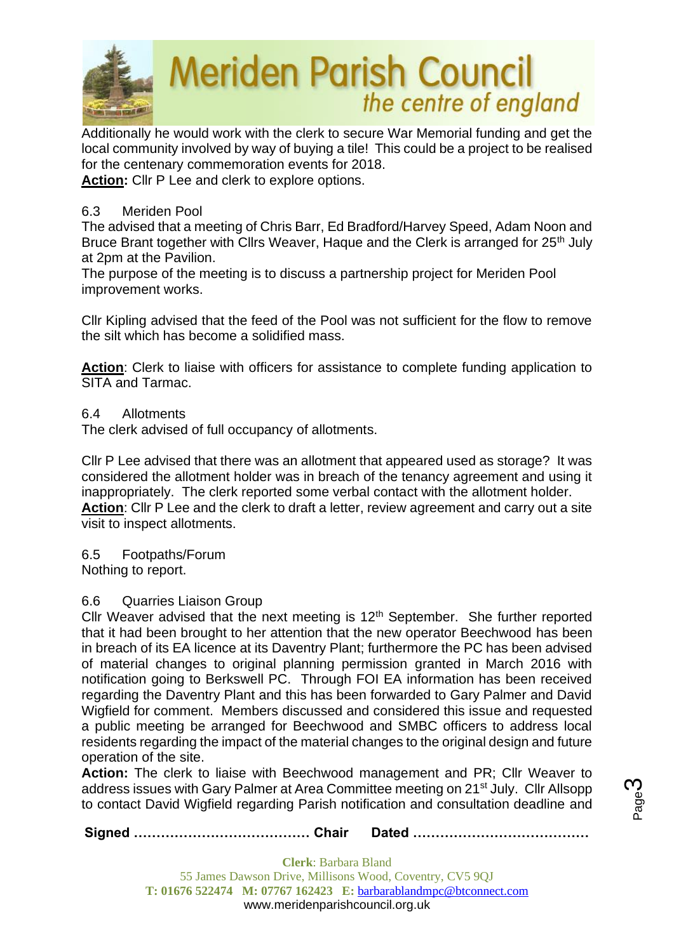

Additionally he would work with the clerk to secure War Memorial funding and get the local community involved by way of buying a tile! This could be a project to be realised for the centenary commemoration events for 2018.

**Action:** Cllr P Lee and clerk to explore options.

### 6.3 Meriden Pool

The advised that a meeting of Chris Barr, Ed Bradford/Harvey Speed, Adam Noon and Bruce Brant together with Cllrs Weaver, Haque and the Clerk is arranged for 25<sup>th</sup> July at 2pm at the Pavilion.

The purpose of the meeting is to discuss a partnership project for Meriden Pool improvement works.

Cllr Kipling advised that the feed of the Pool was not sufficient for the flow to remove the silt which has become a solidified mass.

**Action**: Clerk to liaise with officers for assistance to complete funding application to SITA and Tarmac.

### 6.4 Allotments

The clerk advised of full occupancy of allotments.

Cllr P Lee advised that there was an allotment that appeared used as storage? It was considered the allotment holder was in breach of the tenancy agreement and using it inappropriately. The clerk reported some verbal contact with the allotment holder. **Action**: Cllr P Lee and the clerk to draft a letter, review agreement and carry out a site visit to inspect allotments.

6.5 Footpaths/Forum Nothing to report.

### 6.6 Quarries Liaison Group

Cllr Weaver advised that the next meeting is  $12<sup>th</sup>$  September. She further reported that it had been brought to her attention that the new operator Beechwood has been in breach of its EA licence at its Daventry Plant; furthermore the PC has been advised of material changes to original planning permission granted in March 2016 with notification going to Berkswell PC. Through FOI EA information has been received regarding the Daventry Plant and this has been forwarded to Gary Palmer and David Wigfield for comment. Members discussed and considered this issue and requested a public meeting be arranged for Beechwood and SMBC officers to address local residents regarding the impact of the material changes to the original design and future operation of the site.

**Action:** The clerk to liaise with Beechwood management and PR; Cllr Weaver to address issues with Gary Palmer at Area Committee meeting on 21<sup>st</sup> July. Cllr Allsopp to contact David Wigfield regarding Parish notification and consultation deadline and

**Signed ………………………………… Chair Dated …………………………………**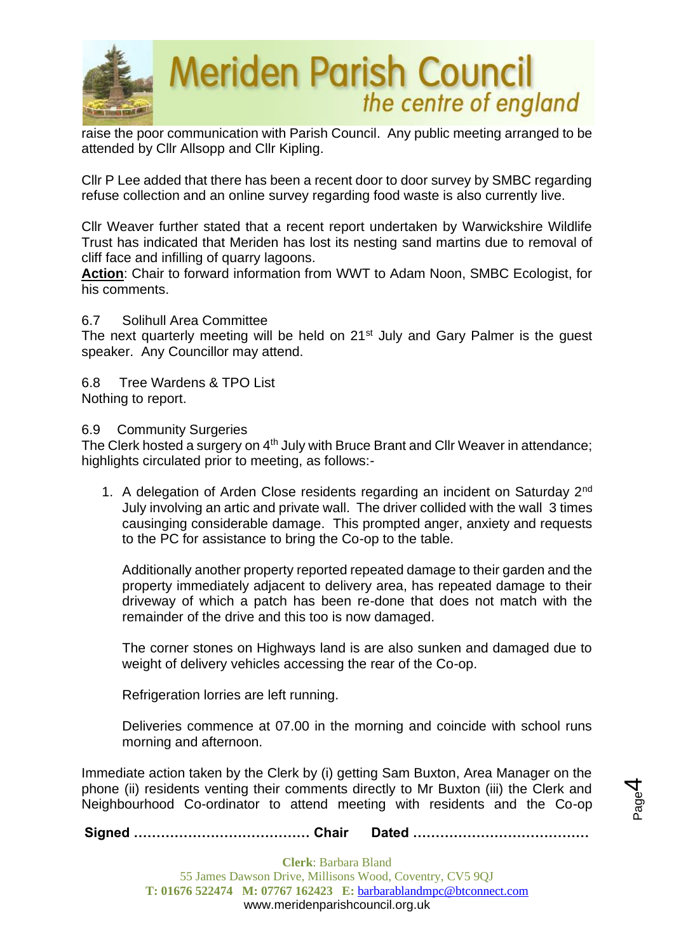

raise the poor communication with Parish Council. Any public meeting arranged to be attended by Cllr Allsopp and Cllr Kipling.

Cllr P Lee added that there has been a recent door to door survey by SMBC regarding refuse collection and an online survey regarding food waste is also currently live.

Cllr Weaver further stated that a recent report undertaken by Warwickshire Wildlife Trust has indicated that Meriden has lost its nesting sand martins due to removal of cliff face and infilling of quarry lagoons.

**Action**: Chair to forward information from WWT to Adam Noon, SMBC Ecologist, for his comments.

#### 6.7 Solihull Area Committee

The next quarterly meeting will be held on 21<sup>st</sup> July and Gary Palmer is the guest speaker. Any Councillor may attend.

6.8 Tree Wardens & TPO List Nothing to report.

6.9 Community Surgeries

The Clerk hosted a surgery on  $4<sup>th</sup>$  July with Bruce Brant and Cllr Weaver in attendance; highlights circulated prior to meeting, as follows:-

1. A delegation of Arden Close residents regarding an incident on Saturday 2nd July involving an artic and private wall. The driver collided with the wall 3 times causinging considerable damage. This prompted anger, anxiety and requests to the PC for assistance to bring the Co-op to the table.

Additionally another property reported repeated damage to their garden and the property immediately adjacent to delivery area, has repeated damage to their driveway of which a patch has been re-done that does not match with the remainder of the drive and this too is now damaged.

The corner stones on Highways land is are also sunken and damaged due to weight of delivery vehicles accessing the rear of the Co-op.

Refrigeration lorries are left running.

Deliveries commence at 07.00 in the morning and coincide with school runs morning and afternoon.

> Page 4

Immediate action taken by the Clerk by (i) getting Sam Buxton, Area Manager on the phone (ii) residents venting their comments directly to Mr Buxton (iii) the Clerk and Neighbourhood Co-ordinator to attend meeting with residents and the Co-op

**Signed ………………………………… Chair Dated …………………………………**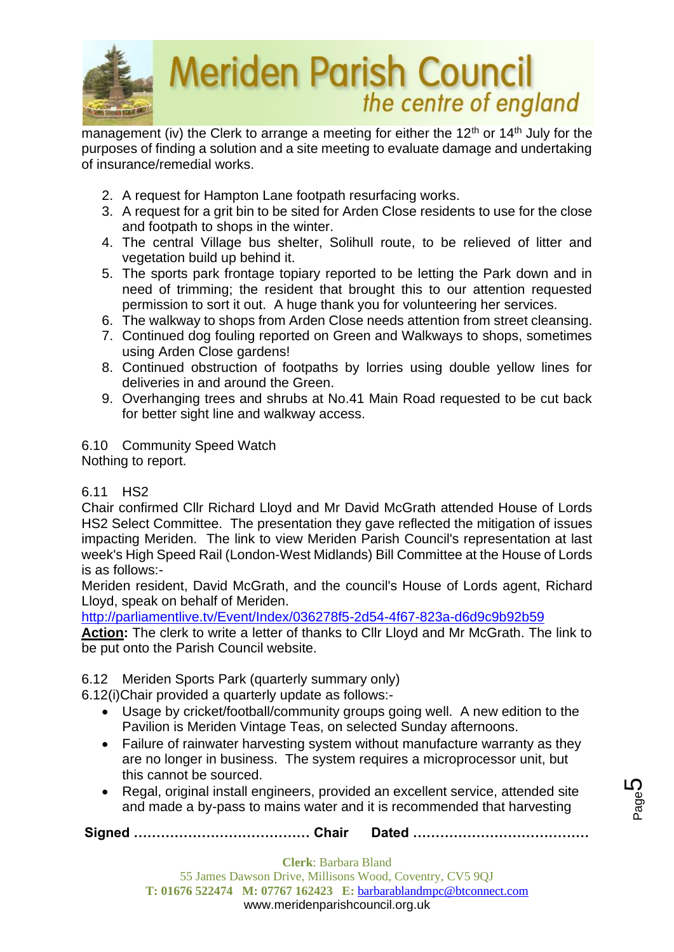

management (iv) the Clerk to arrange a meeting for either the 12<sup>th</sup> or 14<sup>th</sup> July for the purposes of finding a solution and a site meeting to evaluate damage and undertaking of insurance/remedial works.

- 2. A request for Hampton Lane footpath resurfacing works.
- 3. A request for a grit bin to be sited for Arden Close residents to use for the close and footpath to shops in the winter.
- 4. The central Village bus shelter, Solihull route, to be relieved of litter and vegetation build up behind it.
- 5. The sports park frontage topiary reported to be letting the Park down and in need of trimming; the resident that brought this to our attention requested permission to sort it out. A huge thank you for volunteering her services.
- 6. The walkway to shops from Arden Close needs attention from street cleansing.
- 7. Continued dog fouling reported on Green and Walkways to shops, sometimes using Arden Close gardens!
- 8. Continued obstruction of footpaths by lorries using double yellow lines for deliveries in and around the Green.
- 9. Overhanging trees and shrubs at No.41 Main Road requested to be cut back for better sight line and walkway access.

6.10 Community Speed Watch

Nothing to report.

### 6.11 HS2

Chair confirmed Cllr Richard Lloyd and Mr David McGrath attended House of Lords HS2 Select Committee. The presentation they gave reflected the mitigation of issues impacting Meriden. The link to view Meriden Parish Council's representation at last week's High Speed Rail (London-West Midlands) Bill Committee at the House of Lords is as follows:-

Meriden resident, David McGrath, and the council's House of Lords agent, Richard Lloyd, speak on behalf of Meriden.

<http://parliamentlive.tv/Event/Index/036278f5-2d54-4f67-823a-d6d9c9b92b59>

**Action:** The clerk to write a letter of thanks to Cllr Lloyd and Mr McGrath. The link to be put onto the Parish Council website.

6.12 Meriden Sports Park (quarterly summary only)

6.12(i)Chair provided a quarterly update as follows:-

- Usage by cricket/football/community groups going well. A new edition to the Pavilion is Meriden Vintage Teas, on selected Sunday afternoons.
- Failure of rainwater harvesting system without manufacture warranty as they are no longer in business. The system requires a microprocessor unit, but this cannot be sourced.
- Regal, original install engineers, provided an excellent service, attended site and made a by-pass to mains water and it is recommended that harvesting

**Signed ………………………………… Chair Dated …………………………………**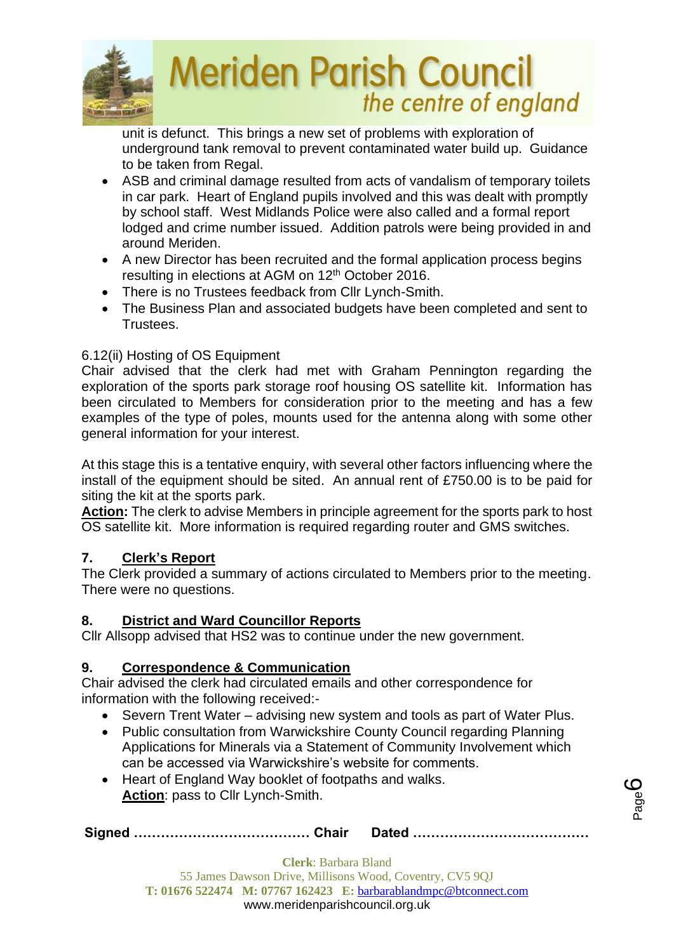

unit is defunct. This brings a new set of problems with exploration of underground tank removal to prevent contaminated water build up. Guidance to be taken from Regal.

- ASB and criminal damage resulted from acts of vandalism of temporary toilets in car park. Heart of England pupils involved and this was dealt with promptly by school staff. West Midlands Police were also called and a formal report lodged and crime number issued. Addition patrols were being provided in and around Meriden.
- A new Director has been recruited and the formal application process begins resulting in elections at AGM on 12<sup>th</sup> October 2016.
- There is no Trustees feedback from Cllr Lynch-Smith.
- The Business Plan and associated budgets have been completed and sent to Trustees.

## 6.12(ii) Hosting of OS Equipment

Chair advised that the clerk had met with Graham Pennington regarding the exploration of the sports park storage roof housing OS satellite kit. Information has been circulated to Members for consideration prior to the meeting and has a few examples of the type of poles, mounts used for the antenna along with some other general information for your interest.

At this stage this is a tentative enquiry, with several other factors influencing where the install of the equipment should be sited. An annual rent of £750.00 is to be paid for siting the kit at the sports park.

**Action:** The clerk to advise Members in principle agreement for the sports park to host OS satellite kit. More information is required regarding router and GMS switches.

### **7. Clerk's Report**

The Clerk provided a summary of actions circulated to Members prior to the meeting. There were no questions.

### **8. District and Ward Councillor Reports**

Cllr Allsopp advised that HS2 was to continue under the new government.

### **9. Correspondence & Communication**

Chair advised the clerk had circulated emails and other correspondence for information with the following received:-

- Severn Trent Water advising new system and tools as part of Water Plus.
- Public consultation from Warwickshire County Council regarding Planning Applications for Minerals via a Statement of Community Involvement which can be accessed via Warwickshire's website for comments.
- Heart of England Way booklet of footpaths and walks. **Action**: pass to Cllr Lynch-Smith.

**Signed ………………………………… Chair Dated …………………………………**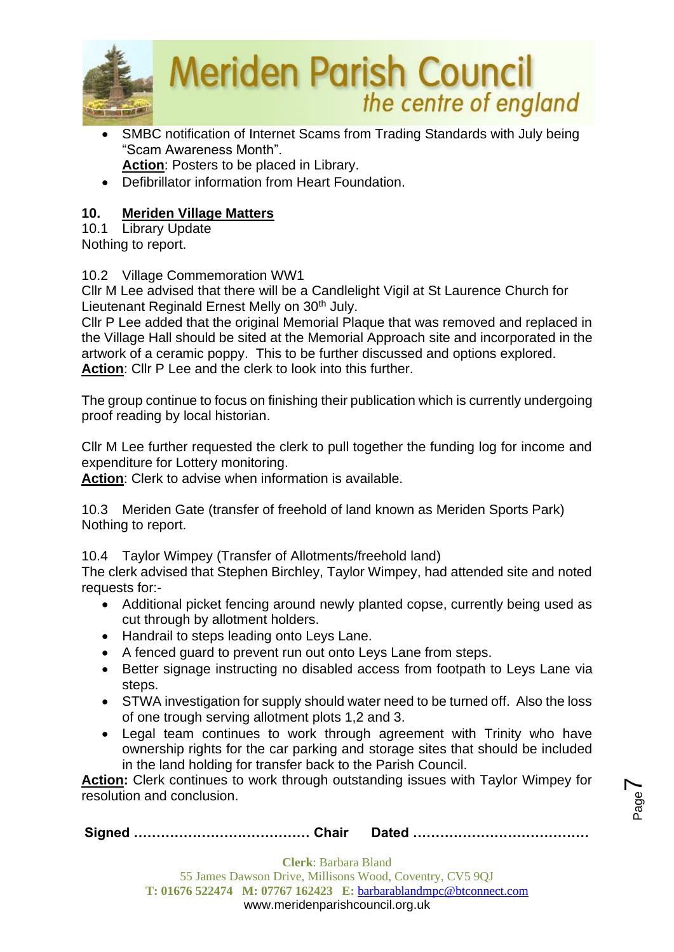

- SMBC notification of Internet Scams from Trading Standards with July being "Scam Awareness Month". **Action**: Posters to be placed in Library.
- Defibrillator information from Heart Foundation.

# **10. Meriden Village Matters**

10.1 Library Update

Nothing to report.

## 10.2 Village Commemoration WW1

Cllr M Lee advised that there will be a Candlelight Vigil at St Laurence Church for Lieutenant Reginald Ernest Melly on 30<sup>th</sup> July.

Cllr P Lee added that the original Memorial Plaque that was removed and replaced in the Village Hall should be sited at the Memorial Approach site and incorporated in the artwork of a ceramic poppy. This to be further discussed and options explored. **Action**: Cllr P Lee and the clerk to look into this further.

The group continue to focus on finishing their publication which is currently undergoing proof reading by local historian.

Cllr M Lee further requested the clerk to pull together the funding log for income and expenditure for Lottery monitoring.

**Action**: Clerk to advise when information is available.

10.3 Meriden Gate (transfer of freehold of land known as Meriden Sports Park) Nothing to report.

10.4 Taylor Wimpey (Transfer of Allotments/freehold land)

The clerk advised that Stephen Birchley, Taylor Wimpey, had attended site and noted requests for:-

- Additional picket fencing around newly planted copse, currently being used as cut through by allotment holders.
- Handrail to steps leading onto Leys Lane.
- A fenced guard to prevent run out onto Leys Lane from steps.
- Better signage instructing no disabled access from footpath to Leys Lane via steps.
- STWA investigation for supply should water need to be turned off. Also the loss of one trough serving allotment plots 1,2 and 3.
- Legal team continues to work through agreement with Trinity who have ownership rights for the car parking and storage sites that should be included in the land holding for transfer back to the Parish Council.

Page  $\blacktriangleright$ 

**Action:** Clerk continues to work through outstanding issues with Taylor Wimpey for resolution and conclusion.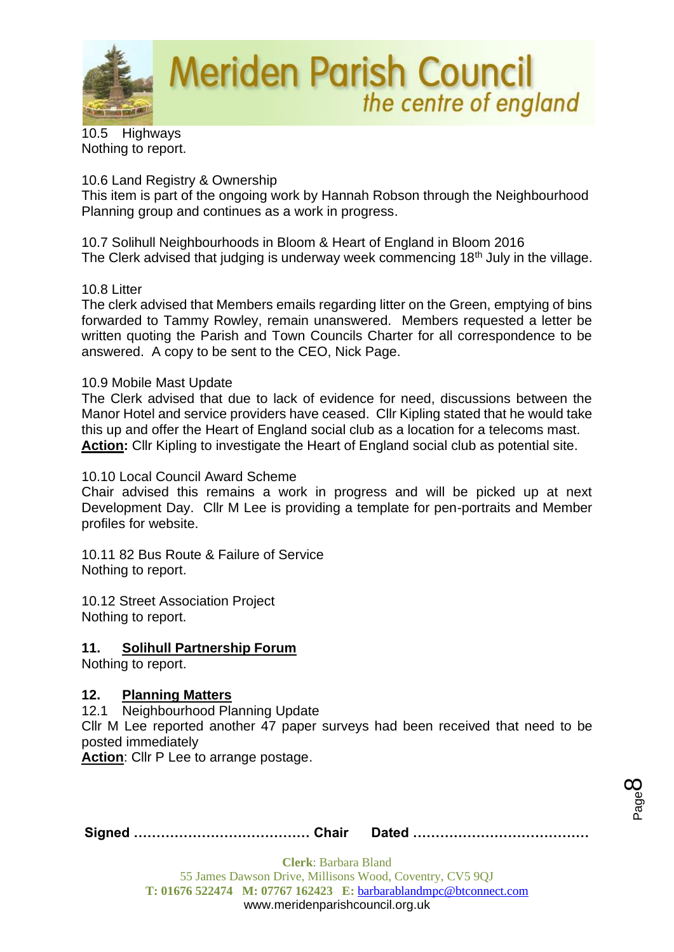

10.5 Highways Nothing to report.

### 10.6 Land Registry & Ownership

This item is part of the ongoing work by Hannah Robson through the Neighbourhood Planning group and continues as a work in progress.

10.7 Solihull Neighbourhoods in Bloom & Heart of England in Bloom 2016 The Clerk advised that judging is underway week commencing  $18<sup>th</sup>$  July in the village.

### 10.8 Litter

The clerk advised that Members emails regarding litter on the Green, emptying of bins forwarded to Tammy Rowley, remain unanswered. Members requested a letter be written quoting the Parish and Town Councils Charter for all correspondence to be answered. A copy to be sent to the CEO, Nick Page.

### 10.9 Mobile Mast Update

The Clerk advised that due to lack of evidence for need, discussions between the Manor Hotel and service providers have ceased. Cllr Kipling stated that he would take this up and offer the Heart of England social club as a location for a telecoms mast. **Action:** Cllr Kipling to investigate the Heart of England social club as potential site.

#### 10.10 Local Council Award Scheme

Chair advised this remains a work in progress and will be picked up at next Development Day. Cllr M Lee is providing a template for pen-portraits and Member profiles for website.

10.11 82 Bus Route & Failure of Service Nothing to report.

10.12 Street Association Project Nothing to report.

### **11. Solihull Partnership Forum**

Nothing to report.

### **12. Planning Matters**

12.1 Neighbourhood Planning Update

Cllr M Lee reported another 47 paper surveys had been received that need to be posted immediately

Action: Cllr P Lee to arrange postage.

Page  $\infty$ 

|--|--|--|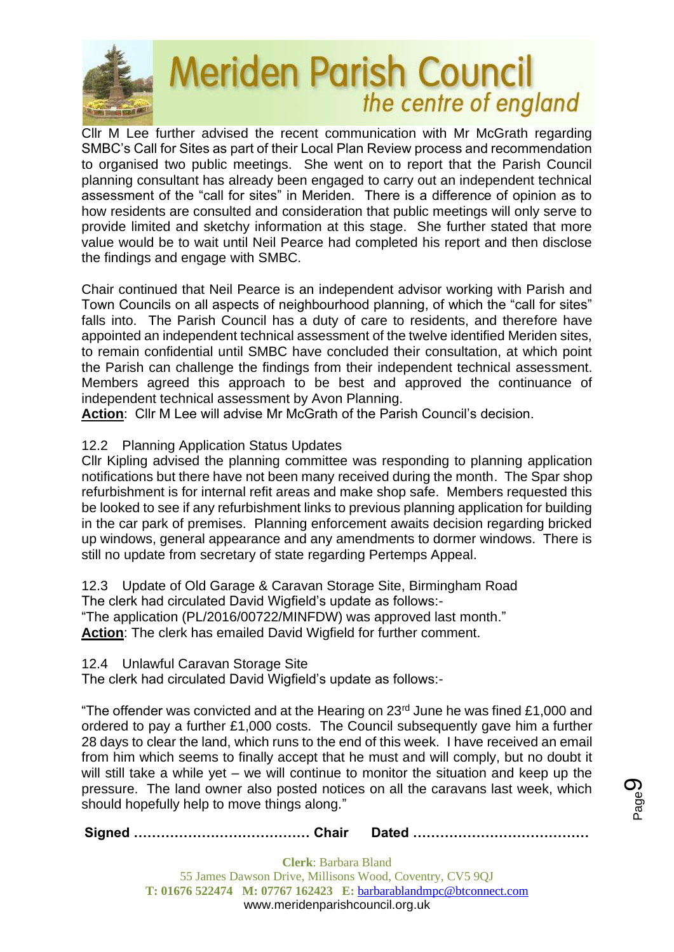

Cllr M Lee further advised the recent communication with Mr McGrath regarding SMBC's Call for Sites as part of their Local Plan Review process and recommendation to organised two public meetings. She went on to report that the Parish Council planning consultant has already been engaged to carry out an independent technical assessment of the "call for sites" in Meriden. There is a difference of opinion as to how residents are consulted and consideration that public meetings will only serve to provide limited and sketchy information at this stage. She further stated that more value would be to wait until Neil Pearce had completed his report and then disclose the findings and engage with SMBC.

Chair continued that Neil Pearce is an independent advisor working with Parish and Town Councils on all aspects of neighbourhood planning, of which the "call for sites" falls into. The Parish Council has a duty of care to residents, and therefore have appointed an independent technical assessment of the twelve identified Meriden sites, to remain confidential until SMBC have concluded their consultation, at which point the Parish can challenge the findings from their independent technical assessment. Members agreed this approach to be best and approved the continuance of independent technical assessment by Avon Planning.

**Action**: Cllr M Lee will advise Mr McGrath of the Parish Council's decision.

12.2 Planning Application Status Updates

Cllr Kipling advised the planning committee was responding to planning application notifications but there have not been many received during the month. The Spar shop refurbishment is for internal refit areas and make shop safe. Members requested this be looked to see if any refurbishment links to previous planning application for building in the car park of premises. Planning enforcement awaits decision regarding bricked up windows, general appearance and any amendments to dormer windows. There is still no update from secretary of state regarding Pertemps Appeal.

12.3 Update of Old Garage & Caravan Storage Site, Birmingham Road The clerk had circulated David Wigfield's update as follows:- "The application (PL/2016/00722/MINFDW) was approved last month." **Action**: The clerk has emailed David Wigfield for further comment.

12.4 Unlawful Caravan Storage Site

The clerk had circulated David Wigfield's update as follows:-

"The offender was convicted and at the Hearing on  $23<sup>rd</sup>$  June he was fined £1,000 and ordered to pay a further £1,000 costs. The Council subsequently gave him a further 28 days to clear the land, which runs to the end of this week. I have received an email from him which seems to finally accept that he must and will comply, but no doubt it will still take a while yet – we will continue to monitor the situation and keep up the pressure. The land owner also posted notices on all the caravans last week, which should hopefully help to move things along."

**Signed ………………………………… Chair Dated …………………………………**

Page ග